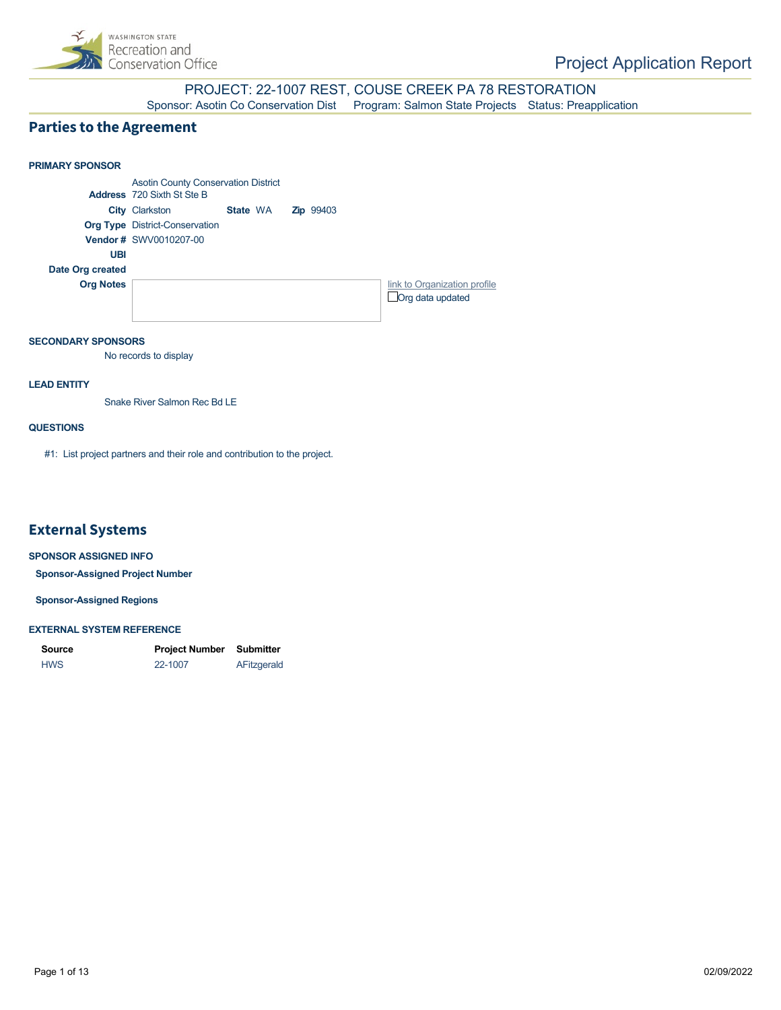

PROJECT: 22-1007 REST, COUSE CREEK PA 78 RESTORATION<br>Sponsor: Asotin Co Conservation Dist<br>Program: Salmon State Projects Status: Preap Program: Salmon State Projects Status: Preapplication

## **Parties to the Agreement**



## **SECONDARY SPONSORS**

No records to display

### **LEAD ENTITY**

Snake River Salmon Rec Bd LE

## **QUESTIONS**

#1: List project partners and their role and contribution to the project.

## **External Systems**

#### **SPONSOR ASSIGNED INFO**

**Sponsor-Assigned Project Number**

**Sponsor-Assigned Regions**

#### **EXTERNAL SYSTEM REFERENCE**

| Source     | <b>Project Number</b> | Submitter   |
|------------|-----------------------|-------------|
| <b>HWS</b> | 22-1007               | AFitzgerald |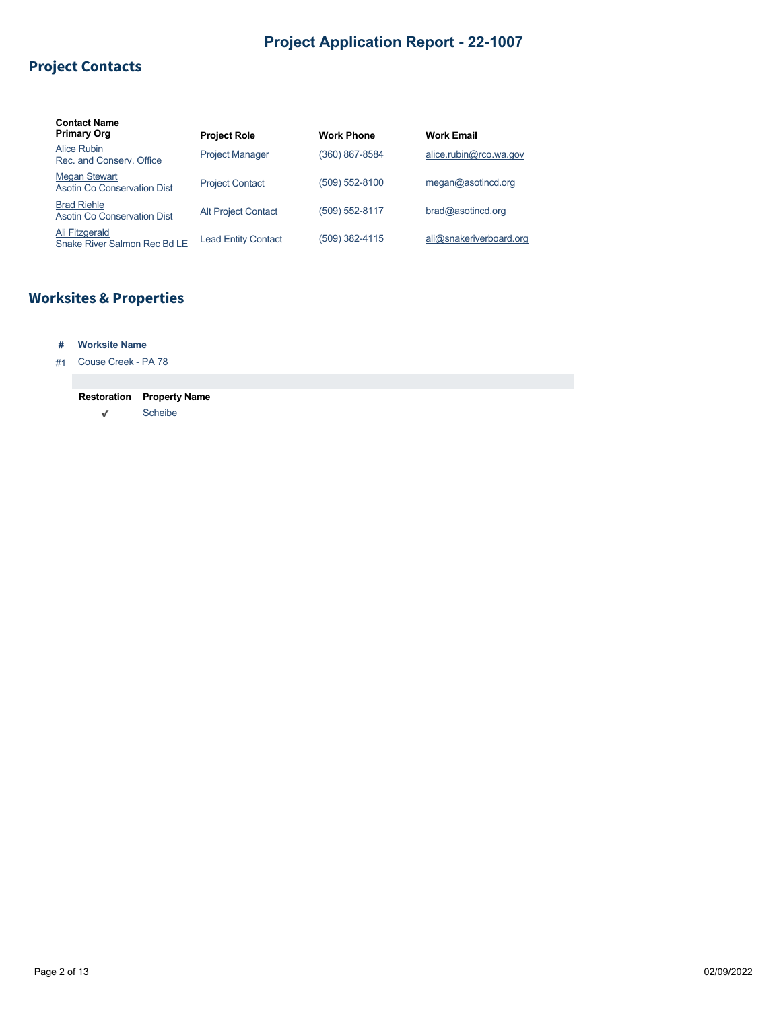# **Project Contacts**

| <b>Contact Name</b><br><b>Primary Org</b>           | <b>Project Role</b>        | <b>Work Phone</b> | <b>Work Email</b>       |
|-----------------------------------------------------|----------------------------|-------------------|-------------------------|
| Alice Rubin<br>Rec. and Conserv. Office             | <b>Project Manager</b>     | (360) 867-8584    | alice.rubin@rco.wa.gov  |
| <b>Megan Stewart</b><br>Asotin Co Conservation Dist | <b>Project Contact</b>     | (509) 552-8100    | meqan@asotincd.org      |
| <b>Brad Riehle</b><br>Asotin Co Conservation Dist   | <b>Alt Project Contact</b> | (509) 552-8117    | brad@asotincd.org       |
| Ali Fitzgerald<br>Snake River Salmon Rec Bd LE      | <b>Lead Entity Contact</b> | (509) 382-4115    | ali@snakeriverboard.org |

# **Worksites & Properties**

## **# Worksite Name**

#1 Couse Creek - PA 78

## **Restoration Property Name**

 $\checkmark$ Scheibe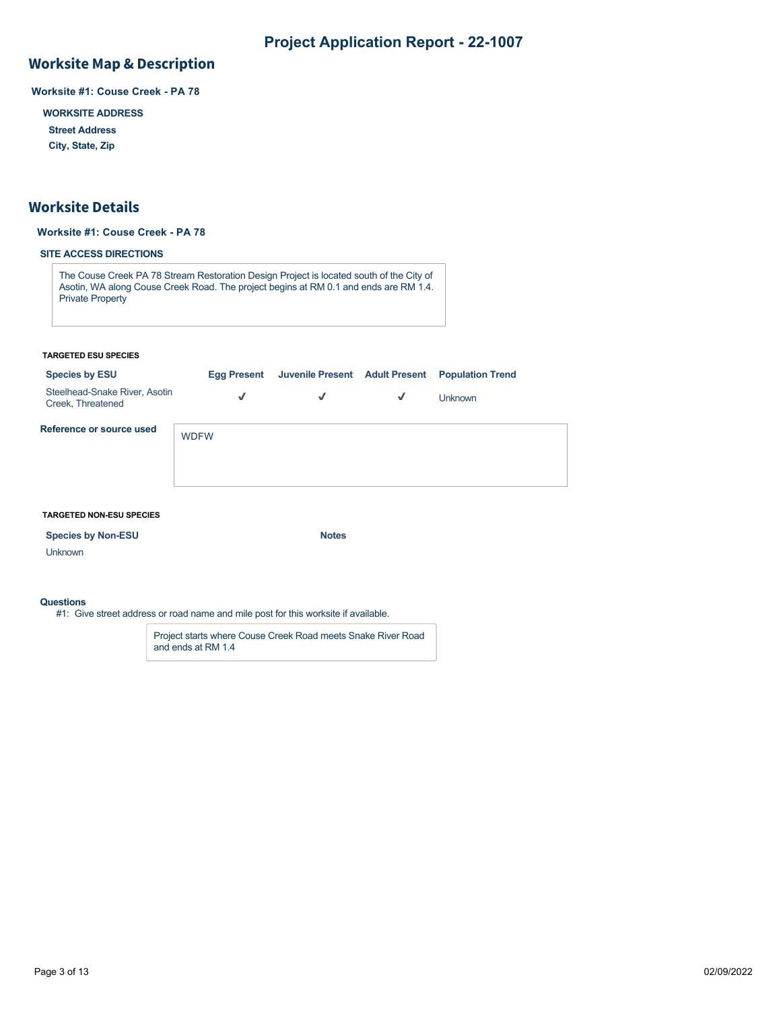## **Worksite Map & Description**

**Worksite #1: Couse Creek - PA 78**

**WORKSITE ADDRESS**

**Street Address**

**City, State, Zip**

## **Worksite Details**

## **Worksite #1: Couse Creek - PA 78**

## **SITE ACCESS DIRECTIONS**

The Couse Creek PA 78 Stream Restoration Design Project is located south of the City of Asotin, WA along Couse Creek Road. The project begins at RM 0.1 and ends are RM 1.4. Private Property

#### **TARGETED ESU SPECIES**

| <b>Species by ESU</b>                              | <b>Egg Present</b> |   |   | Juvenile Present Adult Present Population Trend |
|----------------------------------------------------|--------------------|---|---|-------------------------------------------------|
| Steelhead-Snake River, Asotin<br>Creek, Threatened | √                  | √ | √ | <b>Unknown</b>                                  |
| Reference or source used                           | <b>WDFW</b>        |   |   |                                                 |

#### **TARGETED NON-ESU SPECIES**

| <b>Species by Non-ESU</b> | <b>Notes</b> |
|---------------------------|--------------|
|---------------------------|--------------|

Unknown

### **Questions**

#1: Give street address or road name and mile post for this worksite if available.

Project starts where Couse Creek Road meets Snake River Road and ends at RM 1.4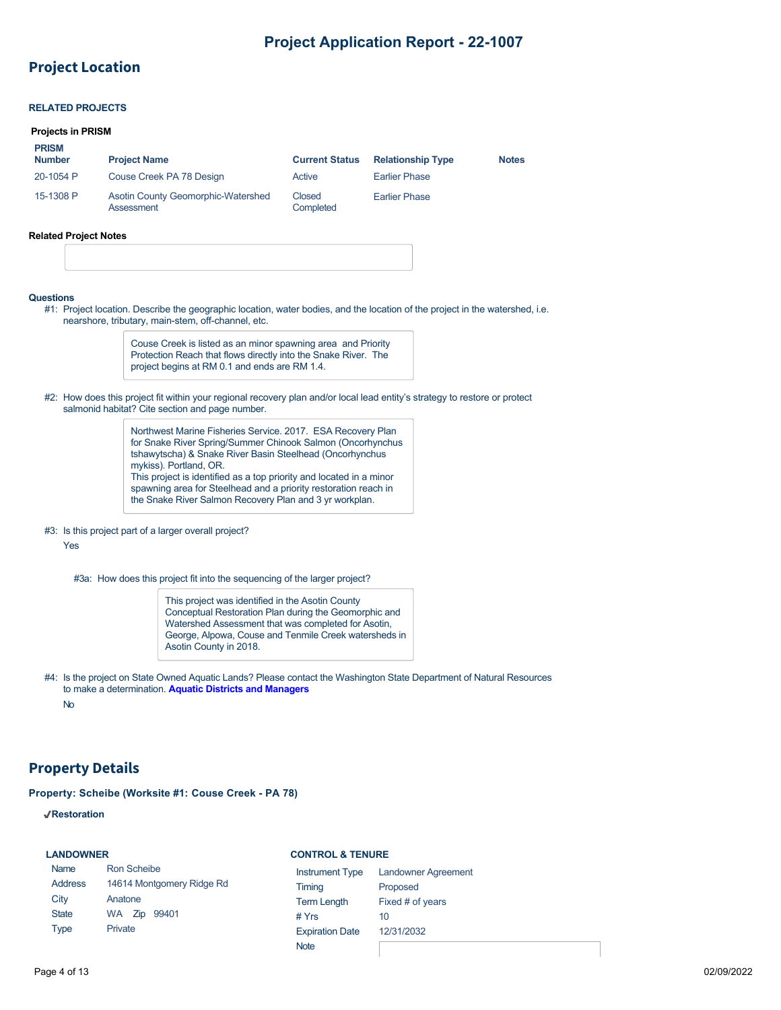## **Project Location**

## **RELATED PROJECTS**

### **Projects in PRISM**

**PRISM**

| <b>FNOM</b><br><b>Number</b> | <b>Project Name</b>                              | <b>Current Status</b> | <b>Relationship Type</b> | <b>Notes</b> |
|------------------------------|--------------------------------------------------|-----------------------|--------------------------|--------------|
| 20-1054 P                    | Couse Creek PA 78 Design                         | Active                | <b>Earlier Phase</b>     |              |
| 15-1308 P                    | Asotin County Geomorphic-Watershed<br>Assessment | Closed<br>Completed   | <b>Earlier Phase</b>     |              |

#### **Related Project Notes**

#### **Questions**

#1: Project location. Describe the geographic location, water bodies, and the location of the project in the watershed, i.e. nearshore, tributary, main-stem, off-channel, etc.

> Couse Creek is listed as an minor spawning area and Priority Protection Reach that flows directly into the Snake River. The project begins at RM 0.1 and ends are RM 1.4.

#2: How does this project fit within your regional recovery plan and/or local lead entity's strategy to restore or protect salmonid habitat? Cite section and page number.

> Northwest Marine Fisheries Service. 2017. ESA Recovery Plan for Snake River Spring/Summer Chinook Salmon (Oncorhynchus tshawytscha) & Snake River Basin Steelhead (Oncorhynchus mykiss). Portland, OR. This project is identified as a top priority and located in a minor spawning area for Steelhead and a priority restoration reach in the Snake River Salmon Recovery Plan and 3 yr workplan.

#### #3: Is this project part of a larger overall project?

Yes

#3a: How does this project fit into the sequencing of the larger project?

This project was identified in the Asotin County Conceptual Restoration Plan during the Geomorphic and Watershed Assessment that was completed for Asotin, George, Alpowa, Couse and Tenmile Creek watersheds in Asotin County in 2018.

#4: Is the project on State Owned Aquatic Lands? Please contact the Washington State Department of Natural Resources to make a determination. **[Aquatic Districts and Managers](https://www.dnr.wa.gov/programs-and-services/aquatics/aquatic-districts-and-land-managers-map)**

No

## **Property Details**

**Property: Scheibe (Worksite #1: Couse Creek - PA 78)**

**Restoration**

#### **LANDOWNER**

#### **CONTROL & TENURE**

| Name           | Ron Scheibe               | Instrume       |
|----------------|---------------------------|----------------|
| <b>Address</b> | 14614 Montgomery Ridge Rd | Timing         |
| City           | Anatone                   | <b>Term Le</b> |
| <b>State</b>   | WA Zip 99401              | # Yrs          |
| Type           | Private                   | Expiratio      |
|                |                           | <b>Note</b>    |

| <b>Instrument Type</b> | <b>Landowner Agreement</b> |
|------------------------|----------------------------|
| Timing                 | Proposed                   |
| <b>Term Length</b>     | Fixed # of years           |
| # Yrs                  | 10                         |
| <b>Expiration Date</b> | 12/31/2032                 |
| .                      |                            |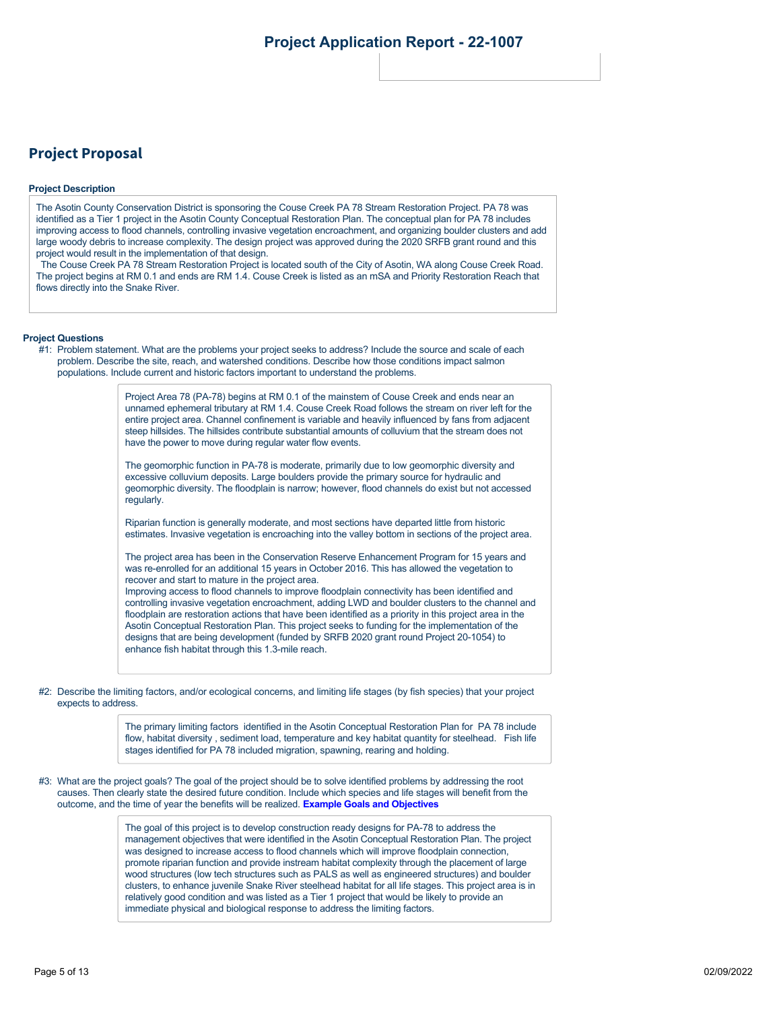## **Project Proposal**

#### **Project Description**

The Asotin County Conservation District is sponsoring the Couse Creek PA 78 Stream Restoration Project. PA 78 was identified as a Tier 1 project in the Asotin County Conceptual Restoration Plan. The conceptual plan for PA 78 includes improving access to flood channels, controlling invasive vegetation encroachment, and organizing boulder clusters and add large woody debris to increase complexity. The design project was approved during the 2020 SRFB grant round and this project would result in the implementation of that design.

The Couse Creek PA 78 Stream Restoration Project is located south of the City of Asotin, WA along Couse Creek Road. The project begins at RM 0.1 and ends are RM 1.4. Couse Creek is listed as an mSA and Priority Restoration Reach that flows directly into the Snake River.

#### **Project Questions**

#1: Problem statement. What are the problems your project seeks to address? Include the source and scale of each problem. Describe the site, reach, and watershed conditions. Describe how those conditions impact salmon populations. Include current and historic factors important to understand the problems.

> Project Area 78 (PA-78) begins at RM 0.1 of the mainstem of Couse Creek and ends near an unnamed ephemeral tributary at RM 1.4. Couse Creek Road follows the stream on river left for the entire project area. Channel confinement is variable and heavily influenced by fans from adjacent steep hillsides. The hillsides contribute substantial amounts of colluvium that the stream does not have the power to move during regular water flow events.

> The geomorphic function in PA-78 is moderate, primarily due to low geomorphic diversity and excessive colluvium deposits. Large boulders provide the primary source for hydraulic and geomorphic diversity. The floodplain is narrow; however, flood channels do exist but not accessed regularly.

> Riparian function is generally moderate, and most sections have departed little from historic estimates. Invasive vegetation is encroaching into the valley bottom in sections of the project area.

The project area has been in the Conservation Reserve Enhancement Program for 15 years and was re-enrolled for an additional 15 years in October 2016. This has allowed the vegetation to recover and start to mature in the project area. Improving access to flood channels to improve floodplain connectivity has been identified and controlling invasive vegetation encroachment, adding LWD and boulder clusters to the channel and floodplain are restoration actions that have been identified as a priority in this project area in the Asotin Conceptual Restoration Plan. This project seeks to funding for the implementation of the designs that are being development (funded by SRFB 2020 grant round Project 20-1054) to enhance fish habitat through this 1.3-mile reach.

#2: Describe the limiting factors, and/or ecological concerns, and limiting life stages (by fish species) that your project expects to address.

> The primary limiting factors identified in the Asotin Conceptual Restoration Plan for PA 78 include flow, habitat diversity , sediment load, temperature and key habitat quantity for steelhead. Fish life stages identified for PA 78 included migration, spawning, rearing and holding.

#3: What are the project goals? The goal of the project should be to solve identified problems by addressing the root causes. Then clearly state the desired future condition. Include which species and life stages will benefit from the outcome, and the time of year the benefits will be realized. **[Example Goals and Objectives](https://rco.wa.gov/wp-content/uploads/2020/02/SRFB-Goals-and-Objectives-Examples.docx)**

> The goal of this project is to develop construction ready designs for PA-78 to address the management objectives that were identified in the Asotin Conceptual Restoration Plan. The project was designed to increase access to flood channels which will improve floodplain connection, promote riparian function and provide instream habitat complexity through the placement of large wood structures (low tech structures such as PALS as well as engineered structures) and boulder clusters, to enhance juvenile Snake River steelhead habitat for all life stages. This project area is in relatively good condition and was listed as a Tier 1 project that would be likely to provide an immediate physical and biological response to address the limiting factors.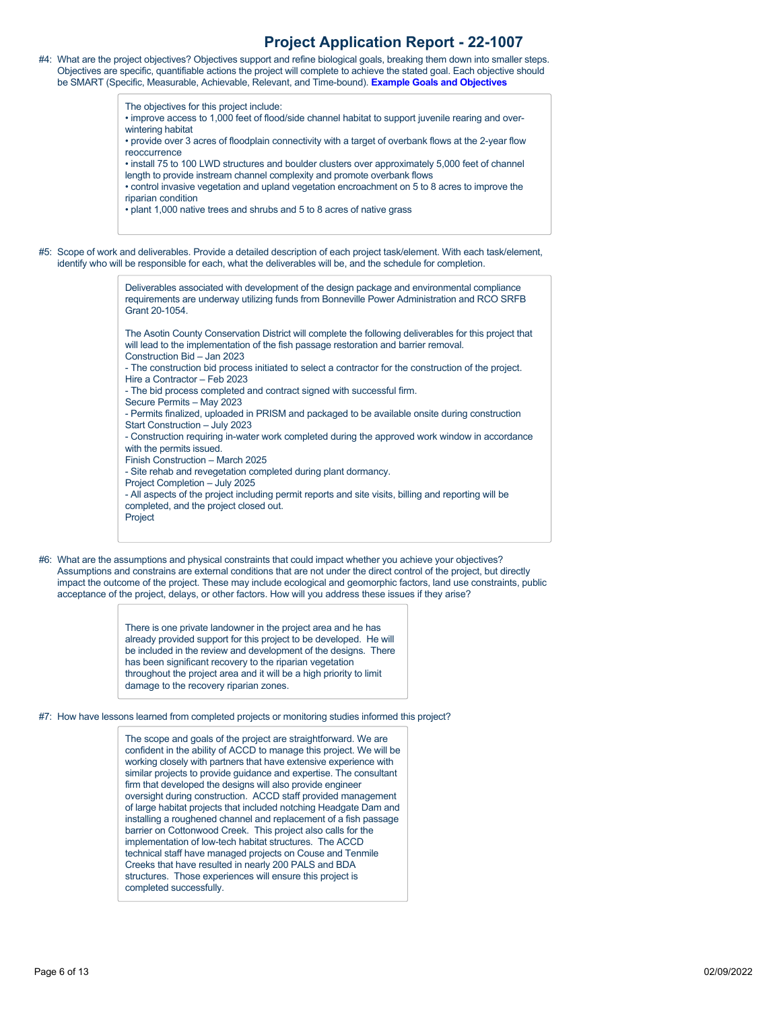| #4: What are the project objectives? Objectives support and refine biological goals, breaking them down into smaller steps. |
|-----------------------------------------------------------------------------------------------------------------------------|
| Objectives are specific, quantifiable actions the project will complete to achieve the stated goal. Each objective should   |
| be SMART (Specific, Measurable, Achievable, Relevant, and Time-bound). Example Goals and Objectives                         |

The objectives for this project include:

- improve access to 1,000 feet of flood/side channel habitat to support juvenile rearing and overwintering habitat
- provide over 3 acres of floodplain connectivity with a target of overbank flows at the 2-year flow reoccurrence
- install 75 to 100 LWD structures and boulder clusters over approximately 5,000 feet of channel length to provide instream channel complexity and promote overbank flows

• control invasive vegetation and upland vegetation encroachment on 5 to 8 acres to improve the riparian condition

• plant 1,000 native trees and shrubs and 5 to 8 acres of native grass

#5: Scope of work and deliverables. Provide a detailed description of each project task/element. With each task/element, identify who will be responsible for each, what the deliverables will be, and the schedule for completion.

> Deliverables associated with development of the design package and environmental compliance requirements are underway utilizing funds from Bonneville Power Administration and RCO SRFB Grant 20-1054.

The Asotin County Conservation District will complete the following deliverables for this project that will lead to the implementation of the fish passage restoration and barrier removal. Construction Bid – Jan 2023

- The construction bid process initiated to select a contractor for the construction of the project. Hire a Contractor – Feb 2023

- The bid process completed and contract signed with successful firm.

- Secure Permits May 2023
- Permits finalized, uploaded in PRISM and packaged to be available onsite during construction Start Construction – July 2023
- Construction requiring in-water work completed during the approved work window in accordance
- with the permits issued. Finish Construction – March 2025
- Site rehab and revegetation completed during plant dormancy.
- Project Completion July 2025
- All aspects of the project including permit reports and site visits, billing and reporting will be completed, and the project closed out.
- Project
- #6: What are the assumptions and physical constraints that could impact whether you achieve your objectives? Assumptions and constrains are external conditions that are not under the direct control of the project, but directly impact the outcome of the project. These may include ecological and geomorphic factors, land use constraints, public acceptance of the project, delays, or other factors. How will you address these issues if they arise?

There is one private landowner in the project area and he has already provided support for this project to be developed. He will be included in the review and development of the designs. There has been significant recovery to the riparian vegetation throughout the project area and it will be a high priority to limit damage to the recovery riparian zones.

#7: How have lessons learned from completed projects or monitoring studies informed this project?

The scope and goals of the project are straightforward. We are confident in the ability of ACCD to manage this project. We will be working closely with partners that have extensive experience with similar projects to provide guidance and expertise. The consultant firm that developed the designs will also provide engineer oversight during construction. ACCD staff provided management of large habitat projects that included notching Headgate Dam and installing a roughened channel and replacement of a fish passage barrier on Cottonwood Creek. This project also calls for the implementation of low-tech habitat structures. The ACCD technical staff have managed projects on Couse and Tenmile Creeks that have resulted in nearly 200 PALS and BDA structures. Those experiences will ensure this project is completed successfully.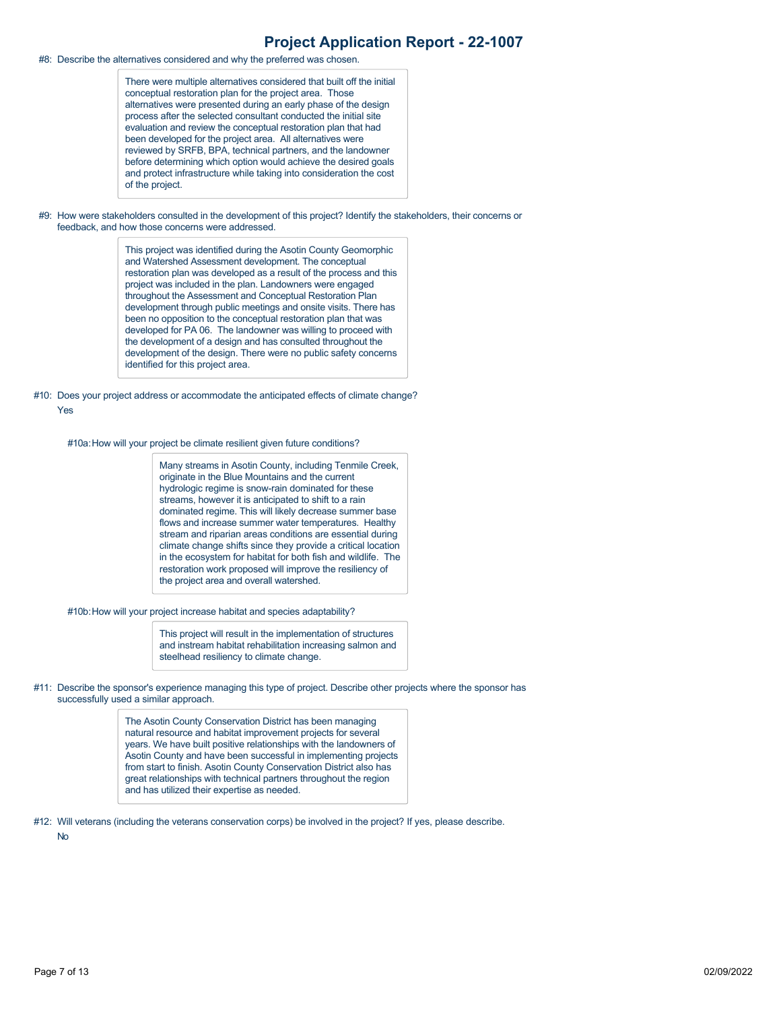#8: Describe the alternatives considered and why the preferred was chosen.

There were multiple alternatives considered that built off the initial conceptual restoration plan for the project area. Those alternatives were presented during an early phase of the design process after the selected consultant conducted the initial site evaluation and review the conceptual restoration plan that had been developed for the project area. All alternatives were reviewed by SRFB, BPA, technical partners, and the landowner before determining which option would achieve the desired goals and protect infrastructure while taking into consideration the cost of the project.

#9: How were stakeholders consulted in the development of this project? Identify the stakeholders, their concerns or feedback, and how those concerns were addressed.

> This project was identified during the Asotin County Geomorphic and Watershed Assessment development. The conceptual restoration plan was developed as a result of the process and this project was included in the plan. Landowners were engaged throughout the Assessment and Conceptual Restoration Plan development through public meetings and onsite visits. There has been no opposition to the conceptual restoration plan that was developed for PA 06. The landowner was willing to proceed with the development of a design and has consulted throughout the development of the design. There were no public safety concerns identified for this project area.

#10: Does your project address or accommodate the anticipated effects of climate change? Yes

#10a:How will your project be climate resilient given future conditions?

Many streams in Asotin County, including Tenmile Creek, originate in the Blue Mountains and the current hydrologic regime is snow-rain dominated for these streams, however it is anticipated to shift to a rain dominated regime. This will likely decrease summer base flows and increase summer water temperatures. Healthy stream and riparian areas conditions are essential during climate change shifts since they provide a critical location in the ecosystem for habitat for both fish and wildlife. The restoration work proposed will improve the resiliency of the project area and overall watershed.

#10b:How will your project increase habitat and species adaptability?

This project will result in the implementation of structures and instream habitat rehabilitation increasing salmon and steelhead resiliency to climate change.

#11: Describe the sponsor's experience managing this type of project. Describe other projects where the sponsor has successfully used a similar approach.

> The Asotin County Conservation District has been managing natural resource and habitat improvement projects for several years. We have built positive relationships with the landowners of Asotin County and have been successful in implementing projects from start to finish. Asotin County Conservation District also has great relationships with technical partners throughout the region and has utilized their expertise as needed.

#12: Will veterans (including the veterans conservation corps) be involved in the project? If yes, please describe.

No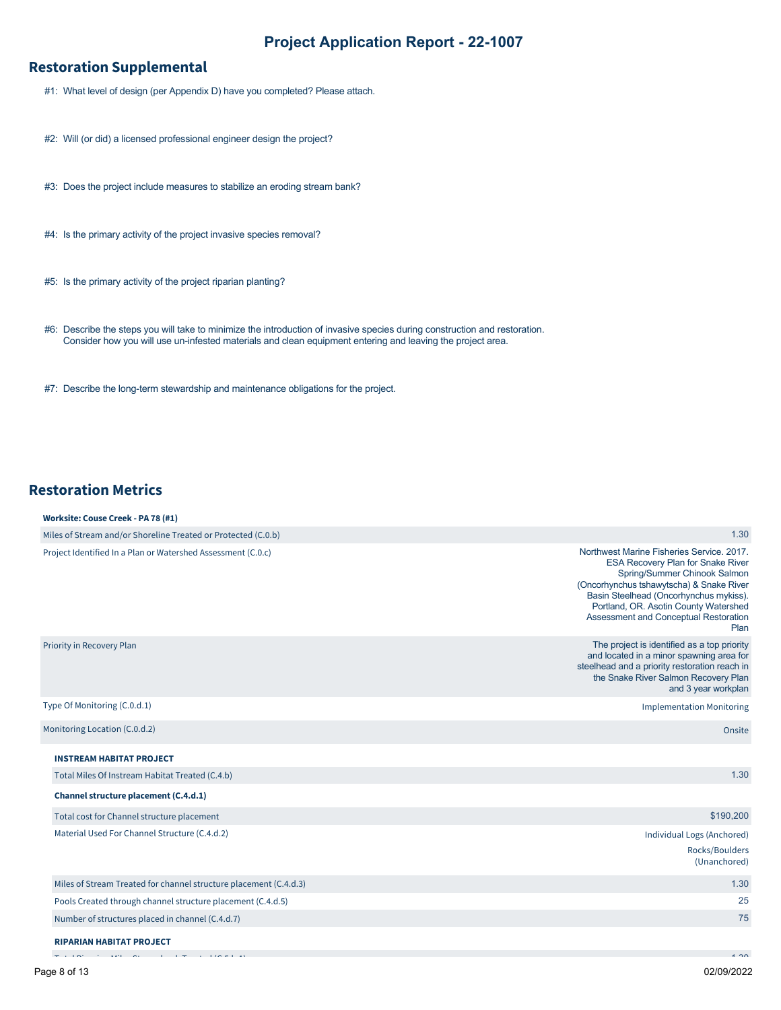# **Restoration Supplemental**

- #1: What level of design (per Appendix D) have you completed? Please attach.
- #2: Will (or did) a licensed professional engineer design the project?
- #3: Does the project include measures to stabilize an eroding stream bank?
- #4: Is the primary activity of the project invasive species removal?
- #5: Is the primary activity of the project riparian planting?
- #6: Describe the steps you will take to minimize the introduction of invasive species during construction and restoration. Consider how you will use un-infested materials and clean equipment entering and leaving the project area.
- #7: Describe the long-term stewardship and maintenance obligations for the project.

## **Restoration Metrics**

**Worksite: Couse Creek - PA 78 (#1)**

| $\frac{1}{2}$                                                     |                                                                                                                                                                                                                                                                                                       |
|-------------------------------------------------------------------|-------------------------------------------------------------------------------------------------------------------------------------------------------------------------------------------------------------------------------------------------------------------------------------------------------|
| Miles of Stream and/or Shoreline Treated or Protected (C.0.b)     | 1.30                                                                                                                                                                                                                                                                                                  |
| Project Identified In a Plan or Watershed Assessment (C.O.c)      | Northwest Marine Fisheries Service, 2017.<br><b>ESA Recovery Plan for Snake River</b><br>Spring/Summer Chinook Salmon<br>(Oncorhynchus tshawytscha) & Snake River<br>Basin Steelhead (Oncorhynchus mykiss).<br>Portland, OR. Asotin County Watershed<br>Assessment and Conceptual Restoration<br>Plan |
| Priority in Recovery Plan                                         | The project is identified as a top priority<br>and located in a minor spawning area for<br>steelhead and a priority restoration reach in<br>the Snake River Salmon Recovery Plan<br>and 3 year workplan                                                                                               |
| Type Of Monitoring (C.0.d.1)                                      | <b>Implementation Monitoring</b>                                                                                                                                                                                                                                                                      |
| Monitoring Location (C.0.d.2)                                     | Onsite                                                                                                                                                                                                                                                                                                |
| <b>INSTREAM HABITAT PROJECT</b>                                   |                                                                                                                                                                                                                                                                                                       |
| Total Miles Of Instream Habitat Treated (C.4.b)                   | 1.30                                                                                                                                                                                                                                                                                                  |
| Channel structure placement (C.4.d.1)                             |                                                                                                                                                                                                                                                                                                       |
| Total cost for Channel structure placement                        | \$190,200                                                                                                                                                                                                                                                                                             |
| Material Used For Channel Structure (C.4.d.2)                     | Individual Logs (Anchored)                                                                                                                                                                                                                                                                            |
|                                                                   | Rocks/Boulders<br>(Unanchored)                                                                                                                                                                                                                                                                        |
| Miles of Stream Treated for channel structure placement (C.4.d.3) | 1.30                                                                                                                                                                                                                                                                                                  |
| Pools Created through channel structure placement (C.4.d.5)       | 25                                                                                                                                                                                                                                                                                                    |
| Number of structures placed in channel (C.4.d.7)                  | 75                                                                                                                                                                                                                                                                                                    |
| <b>RIPARIAN HABITAT PROJECT</b>                                   |                                                                                                                                                                                                                                                                                                       |
|                                                                   | $\overline{1}$                                                                                                                                                                                                                                                                                        |

Total Riparian Miles Streambank Treated (C.5.b.1)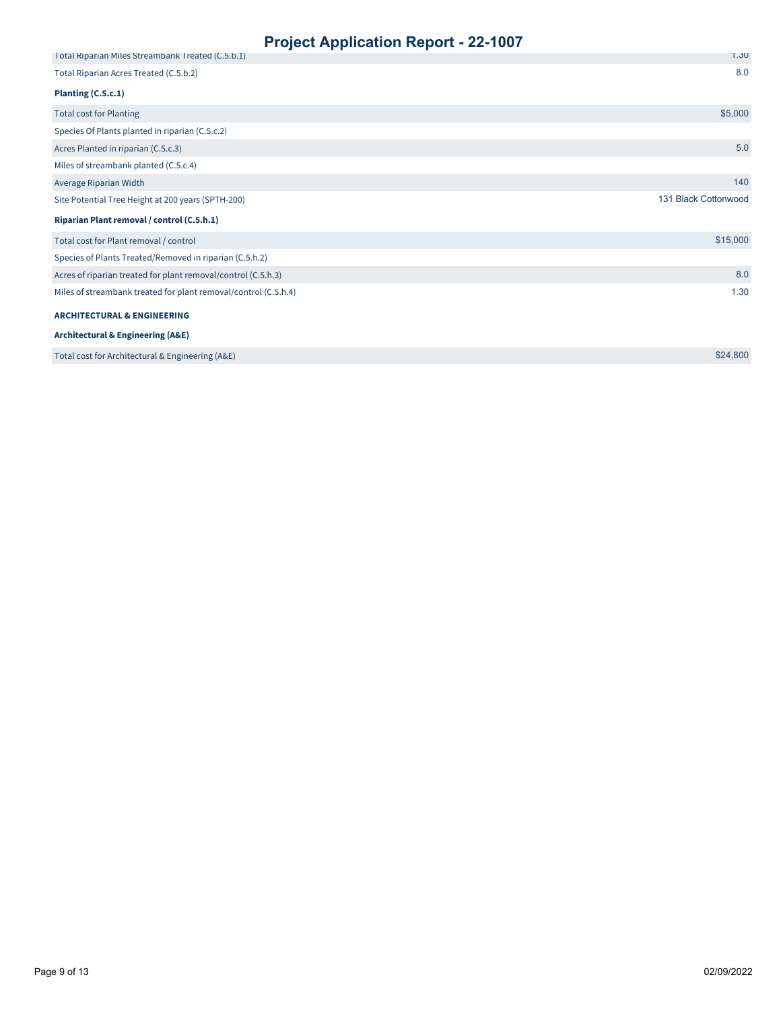| . .<br>Total Riparian Miles Streambank Treated (C.5.b.1)        | 1.30                 |
|-----------------------------------------------------------------|----------------------|
| Total Riparian Acres Treated (C.5.b.2)                          | 8.0                  |
| Planting (C.5.c.1)                                              |                      |
| <b>Total cost for Planting</b>                                  | \$5,000              |
| Species Of Plants planted in riparian (C.5.c.2)                 |                      |
| Acres Planted in riparian (C.5.c.3)                             | 5.0                  |
| Miles of streambank planted (C.5.c.4)                           |                      |
| Average Riparian Width                                          | 140                  |
| Site Potential Tree Height at 200 years (SPTH-200)              | 131 Black Cottonwood |
| Riparian Plant removal / control (C.5.h.1)                      |                      |
| Total cost for Plant removal / control                          | \$15,000             |
| Species of Plants Treated/Removed in riparian (C.5.h.2)         |                      |
| Acres of riparian treated for plant removal/control (C.5.h.3)   | 8.0                  |
| Miles of streambank treated for plant removal/control (C.5.h.4) | 1.30                 |
| <b>ARCHITECTURAL &amp; ENGINEERING</b>                          |                      |
| <b>Architectural &amp; Engineering (A&amp;E)</b>                |                      |
| Total cost for Architectural & Engineering (A&E)                | \$24,800             |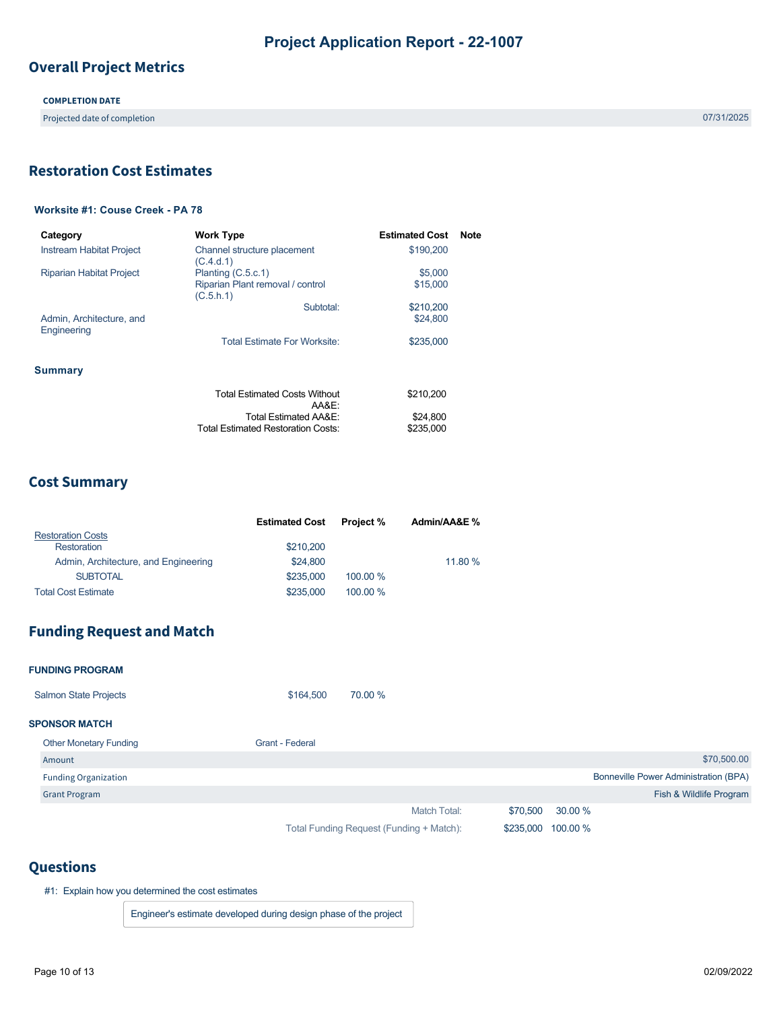# **Overall Project Metrics**

**COMPLETION DATE**

Projected date of completion 07/31/2025

# <span id="page-9-0"></span>**Restoration Cost Estimates**

## **Worksite #1: Couse Creek - PA 78**

| Category                                | <b>Work Type</b>                              | <b>Estimated Cost</b> | Note |
|-----------------------------------------|-----------------------------------------------|-----------------------|------|
| <b>Instream Habitat Project</b>         | Channel structure placement<br>(C.4.d.1)      | \$190.200             |      |
| <b>Riparian Habitat Project</b>         | Planting (C.5.c.1)                            | \$5,000               |      |
|                                         | Riparian Plant removal / control<br>(C.5.h.1) | \$15,000              |      |
|                                         | Subtotal:                                     | \$210,200             |      |
| Admin, Architecture, and<br>Engineering |                                               | \$24,800              |      |
|                                         | <b>Total Estimate For Worksite:</b>           | \$235,000             |      |
| Summary                                 |                                               |                       |      |
|                                         | <b>Total Estimated Costs Without</b><br>AA&E: | \$210.200             |      |
|                                         | Total Estimated AA&E:                         | \$24,800              |      |
|                                         | Total Estimated Restoration Costs:            | \$235,000             |      |

## **Cost Summary**

|                                      | <b>Estimated Cost</b> | <b>Project</b> % | Admin/AA&E % |
|--------------------------------------|-----------------------|------------------|--------------|
| <b>Restoration Costs</b>             |                       |                  |              |
| Restoration                          | \$210,200             |                  |              |
| Admin, Architecture, and Engineering | \$24,800              |                  | 11.80 %      |
| <b>SUBTOTAL</b>                      | \$235,000             | 100.00 %         |              |
| <b>Total Cost Estimate</b>           | \$235,000             | 100.00 %         |              |

## **Funding Request and Match**

### **FUNDING PROGRAM SPONSOR MATCH** Match Total: Total Funding Request (Funding + Match): Salmon State Projects **\$164,500** 70.00 % Other Monetary Funding Grant - Federal Amount Funding Organization Grant Program \$70,500.00 Bonneville Power Administration (BPA) Fish & Wildlife Program \$70,500 30.00 % \$235,000 100.00 %

## **Questions**

#1: Explain how you determined the cost estimates

Engineer's estimate developed during design phase of the project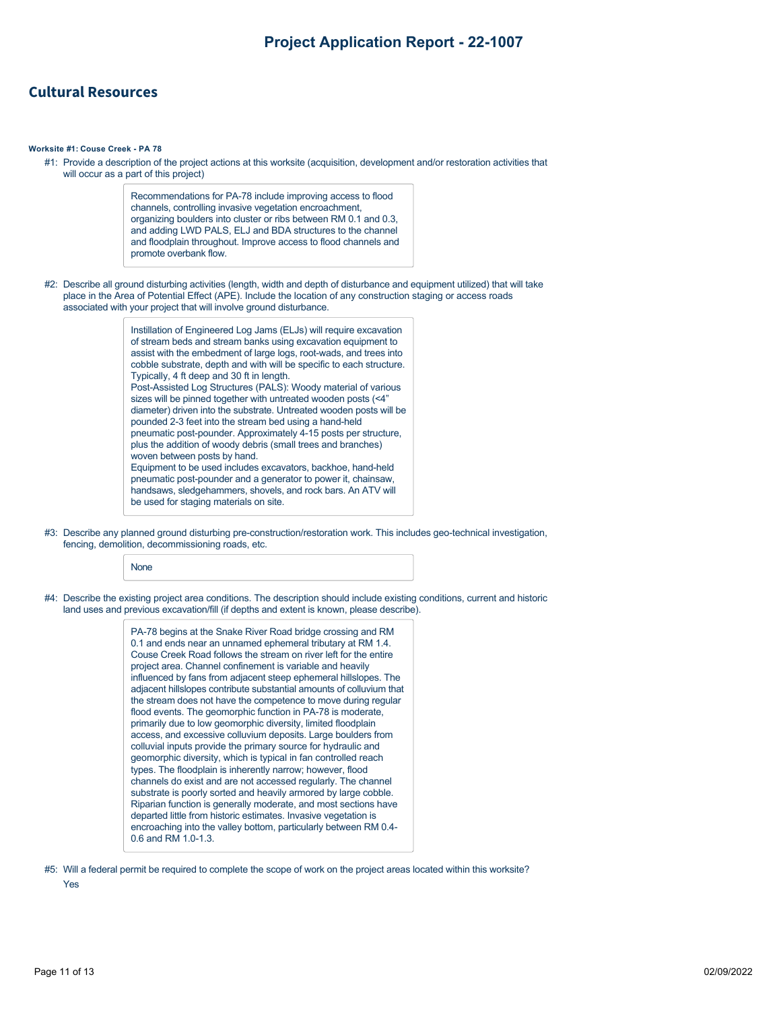## **Cultural Resources**

#### **Worksite #1: Couse Creek - PA 78**

#1: Provide a description of the project actions at this worksite (acquisition, development and/or restoration activities that will occur as a part of this project)

> Recommendations for PA-78 include improving access to flood channels, controlling invasive vegetation encroachment, organizing boulders into cluster or ribs between RM 0.1 and 0.3, and adding LWD PALS, ELJ and BDA structures to the channel and floodplain throughout. Improve access to flood channels and promote overbank flow.

#2: Describe all ground disturbing activities (length, width and depth of disturbance and equipment utilized) that will take place in the Area of Potential Effect (APE). Include the location of any construction staging or access roads associated with your project that will involve ground disturbance.

> Instillation of Engineered Log Jams (ELJs) will require excavation of stream beds and stream banks using excavation equipment to assist with the embedment of large logs, root-wads, and trees into cobble substrate, depth and with will be specific to each structure. Typically, 4 ft deep and 30 ft in length. Post-Assisted Log Structures (PALS): Woody material of various sizes will be pinned together with untreated wooden posts (<4" diameter) driven into the substrate. Untreated wooden posts will be pounded 2-3 feet into the stream bed using a hand-held pneumatic post-pounder. Approximately 4-15 posts per structure, plus the addition of woody debris (small trees and branches) woven between posts by hand. Equipment to be used includes excavators, backhoe, hand-held pneumatic post-pounder and a generator to power it, chainsaw, handsaws, sledgehammers, shovels, and rock bars. An ATV will be used for staging materials on site.

#3: Describe any planned ground disturbing pre-construction/restoration work. This includes geo-technical investigation, fencing, demolition, decommissioning roads, etc.

None

#4: Describe the existing project area conditions. The description should include existing conditions, current and historic land uses and previous excavation/fill (if depths and extent is known, please describe).

> PA-78 begins at the Snake River Road bridge crossing and RM 0.1 and ends near an unnamed ephemeral tributary at RM 1.4. Couse Creek Road follows the stream on river left for the entire project area. Channel confinement is variable and heavily influenced by fans from adjacent steep ephemeral hillslopes. The adjacent hillslopes contribute substantial amounts of colluvium that the stream does not have the competence to move during regular flood events. The geomorphic function in PA-78 is moderate, primarily due to low geomorphic diversity, limited floodplain access, and excessive colluvium deposits. Large boulders from colluvial inputs provide the primary source for hydraulic and geomorphic diversity, which is typical in fan controlled reach types. The floodplain is inherently narrow; however, flood channels do exist and are not accessed regularly. The channel substrate is poorly sorted and heavily armored by large cobble. Riparian function is generally moderate, and most sections have departed little from historic estimates. Invasive vegetation is encroaching into the valley bottom, particularly between RM 0.4- 0.6 and RM 1.0-1.3.

#5: Will a federal permit be required to complete the scope of work on the project areas located within this worksite?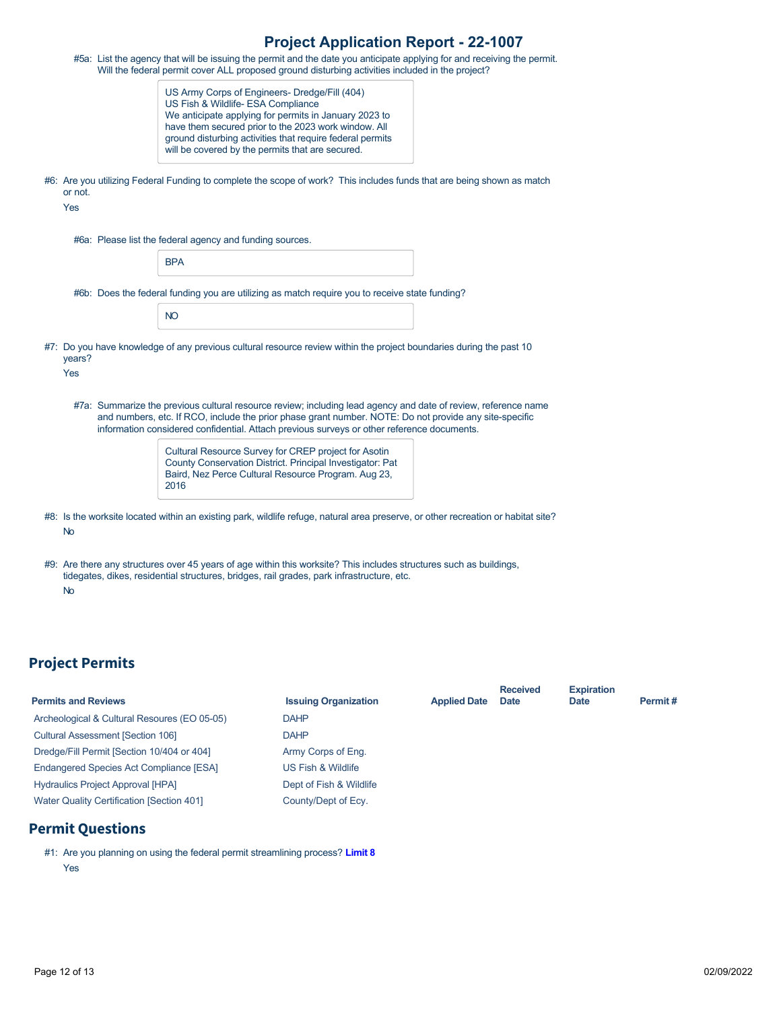|                | #5a: List the agency that will be issuing the permit and the date you anticipate applying for and receiving the permit.<br>Will the federal permit cover ALL proposed ground disturbing activities included in the project?                                                                                            |  |
|----------------|------------------------------------------------------------------------------------------------------------------------------------------------------------------------------------------------------------------------------------------------------------------------------------------------------------------------|--|
|                | US Army Corps of Engineers- Dredge/Fill (404)<br>US Fish & Wildlife- ESA Compliance<br>We anticipate applying for permits in January 2023 to<br>have them secured prior to the 2023 work window. All<br>ground disturbing activities that require federal permits<br>will be covered by the permits that are secured.  |  |
| or not.<br>Yes | #6: Are you utilizing Federal Funding to complete the scope of work? This includes funds that are being shown as match                                                                                                                                                                                                 |  |
|                | #6a: Please list the federal agency and funding sources.                                                                                                                                                                                                                                                               |  |
|                | <b>BPA</b>                                                                                                                                                                                                                                                                                                             |  |
|                | #6b: Does the federal funding you are utilizing as match require you to receive state funding?                                                                                                                                                                                                                         |  |
|                | <b>NO</b>                                                                                                                                                                                                                                                                                                              |  |
| years?<br>Yes  | #7: Do you have knowledge of any previous cultural resource review within the project boundaries during the past 10                                                                                                                                                                                                    |  |
|                | #7a: Summarize the previous cultural resource review; including lead agency and date of review, reference name<br>and numbers, etc. If RCO, include the prior phase grant number. NOTE: Do not provide any site-specific<br>information considered confidential. Attach previous surveys or other reference documents. |  |
|                | Cultural Resource Survey for CREP project for Asotin<br>County Conservation District. Principal Investigator: Pat<br>Baird, Nez Perce Cultural Resource Program. Aug 23,<br>2016                                                                                                                                       |  |
| No             | #8: Is the worksite located within an existing park, wildlife refuge, natural area preserve, or other recreation or habitat site?                                                                                                                                                                                      |  |
| <b>No</b>      | #9: Are there any structures over 45 years of age within this worksite? This includes structures such as buildings,<br>tidegates, dikes, residential structures, bridges, rail grades, park infrastructure, etc.                                                                                                       |  |

# **Project Permits**

| <b>Permits and Reviews</b>                       | <b>Issuing Organization</b> | <b>Applied Date</b> | <b>Received</b><br><b>Date</b> | <b>Expiration</b><br><b>Date</b> | Permit# |
|--------------------------------------------------|-----------------------------|---------------------|--------------------------------|----------------------------------|---------|
| Archeological & Cultural Resoures (EO 05-05)     | <b>DAHP</b>                 |                     |                                |                                  |         |
| <b>Cultural Assessment [Section 106]</b>         | <b>DAHP</b>                 |                     |                                |                                  |         |
| Dredge/Fill Permit [Section 10/404 or 404]       | Army Corps of Eng.          |                     |                                |                                  |         |
| <b>Endangered Species Act Compliance [ESA]</b>   | US Fish & Wildlife          |                     |                                |                                  |         |
| <b>Hydraulics Project Approval [HPA]</b>         | Dept of Fish & Wildlife     |                     |                                |                                  |         |
| <b>Water Quality Certification [Section 401]</b> | County/Dept of Ecy.         |                     |                                |                                  |         |
|                                                  |                             |                     |                                |                                  |         |

# **Permit Questions**

#1: Are you planning on using the federal permit streamlining process? **[Limit 8](https://rco.wa.gov/wp-content/uploads/2019/10/SAL-PermitStreamFactSheet.pdf)** Yes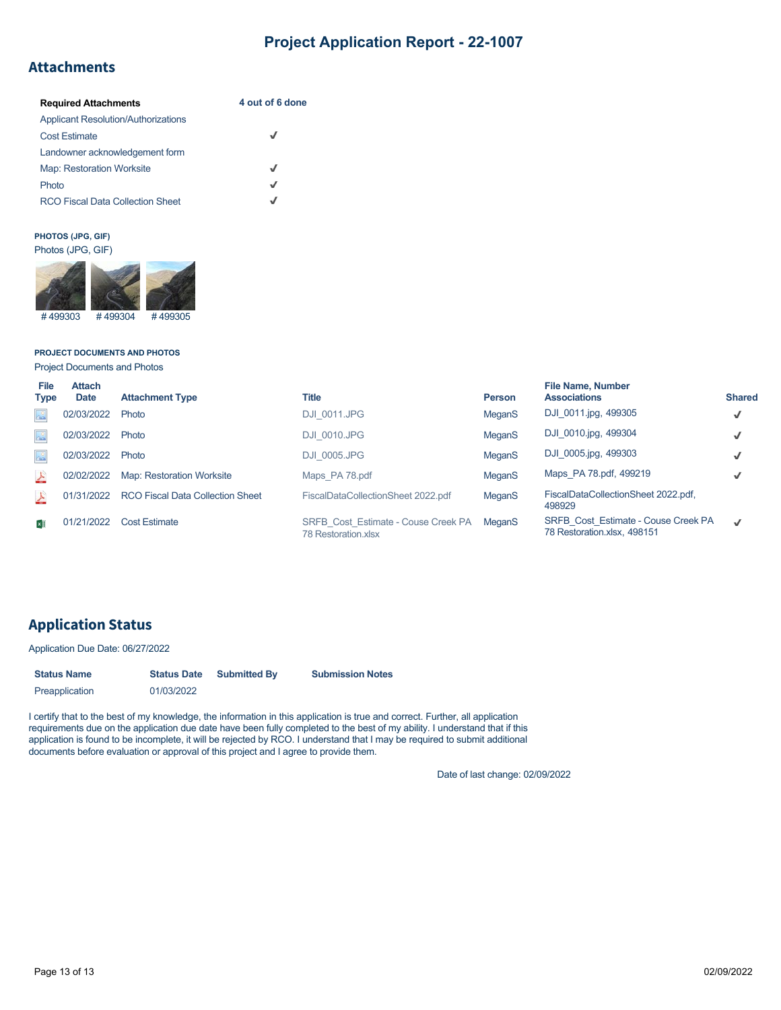## **Attachments**

| <b>Required Attachments</b>                | 4 out of 6 done |
|--------------------------------------------|-----------------|
| <b>Applicant Resolution/Authorizations</b> |                 |
| <b>Cost Estimate</b>                       |                 |
| Landowner acknowledgement form             |                 |
| <b>Map: Restoration Worksite</b>           | J               |
| Photo                                      | J               |
| <b>RCO Fiscal Data Collection Sheet</b>    |                 |

## **PHOTOS (JPG, GIF)**



## **PROJECT DOCUMENTS AND PHOTOS**

Project Documents and Photos

| File<br><b>Type</b>       | <b>Attach</b><br><b>Date</b> | <b>Attachment Type</b>           | Title                                                      | <b>Person</b> | <b>File Name, Number</b><br><b>Associations</b>                    | <b>Shared</b> |
|---------------------------|------------------------------|----------------------------------|------------------------------------------------------------|---------------|--------------------------------------------------------------------|---------------|
| $\Delta^{\circ}$          | 02/03/2022                   | Photo                            | <b>DJI 0011.JPG</b>                                        | MeganS        | DJI 0011.jpg, 499305                                               | $\checkmark$  |
| $\Delta^{\circ}$          | 02/03/2022                   | Photo                            | <b>DJI 0010.JPG</b>                                        | MeganS        | DJI 0010.jpg, 499304                                               | √             |
| $\Delta^{\circ}$          | 02/03/2022                   | Photo                            | <b>DJI 0005.JPG</b>                                        | MeganS        | DJI 0005.jpg, 499303                                               | $\checkmark$  |
| $\frac{\lambda}{\lambda}$ | 02/02/2022                   | <b>Map: Restoration Worksite</b> | Maps PA 78.pdf                                             | MeganS        | Maps PA 78.pdf, 499219                                             | √             |
| 스                         | 01/31/2022                   | RCO Fiscal Data Collection Sheet | FiscalDataCollectionSheet 2022.pdf                         | MeganS        | FiscalDataCollectionSheet 2022.pdf,<br>498929                      |               |
| ×∏                        | 01/21/2022                   | <b>Cost Estimate</b>             | SRFB Cost Estimate - Couse Creek PA<br>78 Restoration xlsx | <b>MeganS</b> | SRFB Cost Estimate - Couse Creek PA<br>78 Restoration.xlsx, 498151 | $\checkmark$  |

# **Application Status**

Application Due Date: 06/27/2022

| <b>Status Name</b> | <b>Status Date</b> | <b>Submitted By</b> | <b>Submission Notes</b> |
|--------------------|--------------------|---------------------|-------------------------|
| Preapplication     | 01/03/2022         |                     |                         |

I certify that to the best of my knowledge, the information in this application is true and correct. Further, all application requirements due on the application due date have been fully completed to the best of my ability. I understand that if this application is found to be incomplete, it will be rejected by RCO. I understand that I may be required to submit additional documents before evaluation or approval of this project and I agree to provide them.

Date of last change: 02/09/2022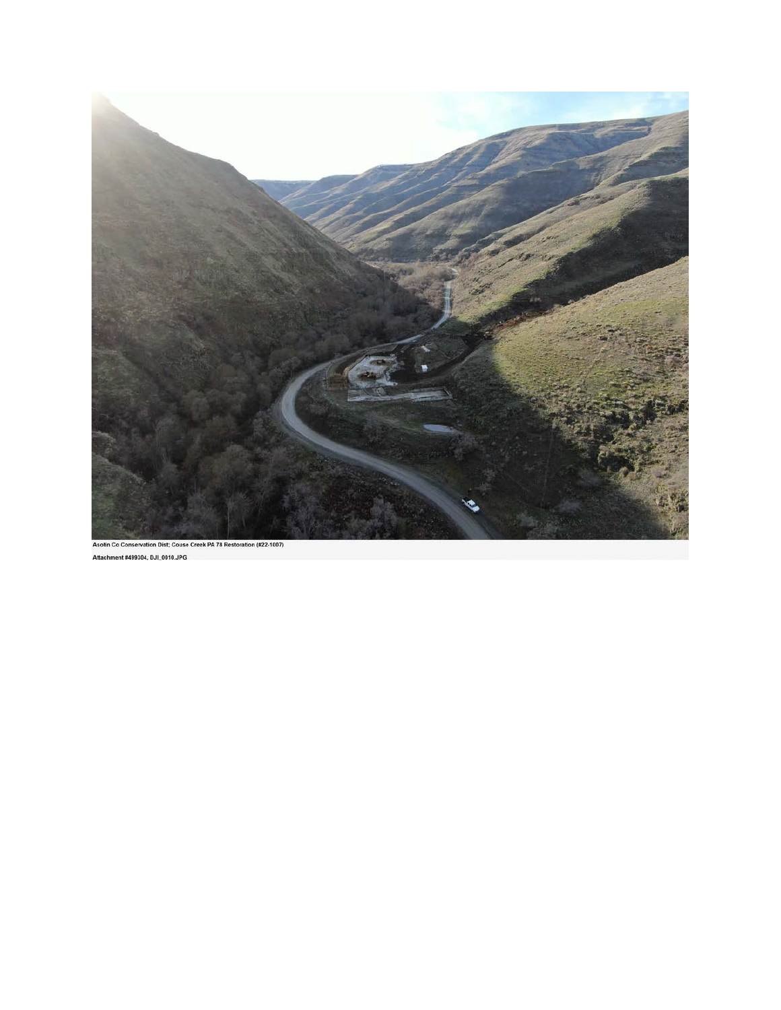

```
Attachment #499304, DJI_0010.JPG
```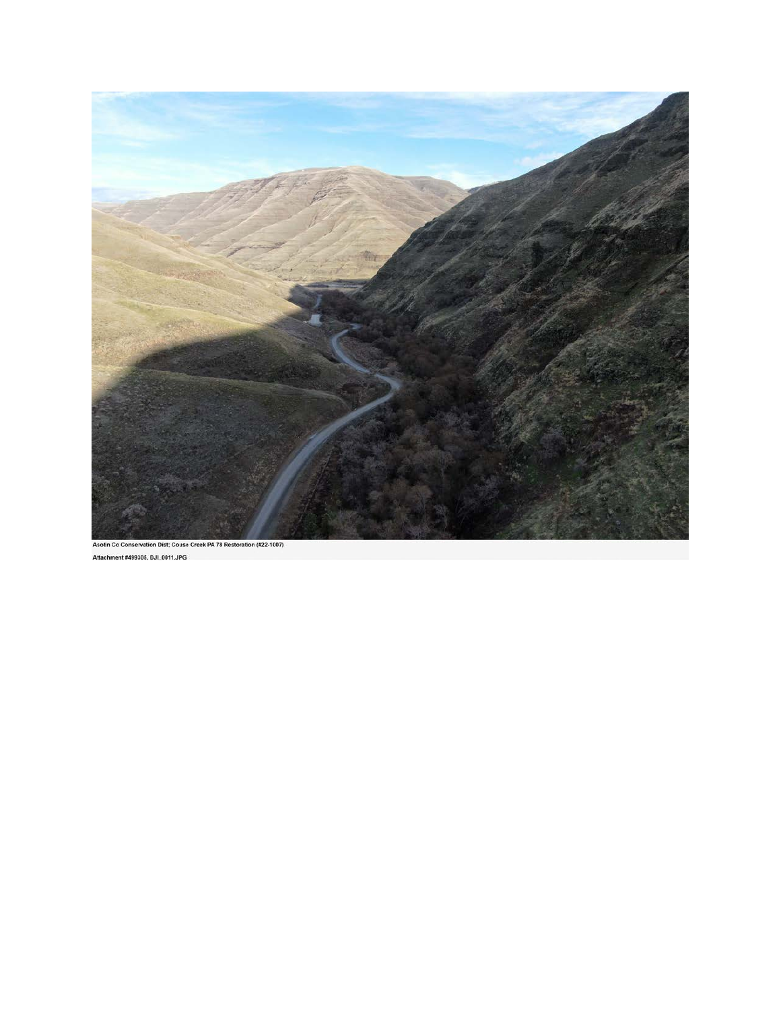

```
Asotin Co Conservation Dist; Couse Creek PA 78 Restoration (#22-1007)
Attachment #499305, DJI_0011.JPG
```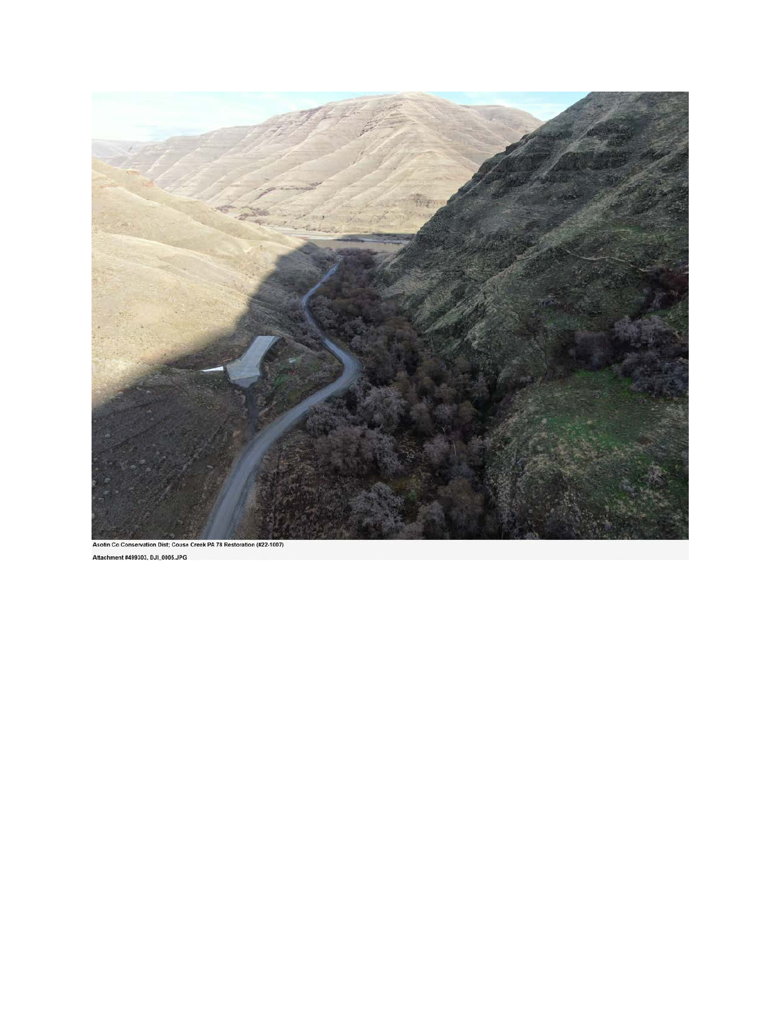

```
Asotin Co Conservation Dist; Couse Creek PA 78 Restoration (#22-1007)
Attachment #499303, DJI_0005.JPG
```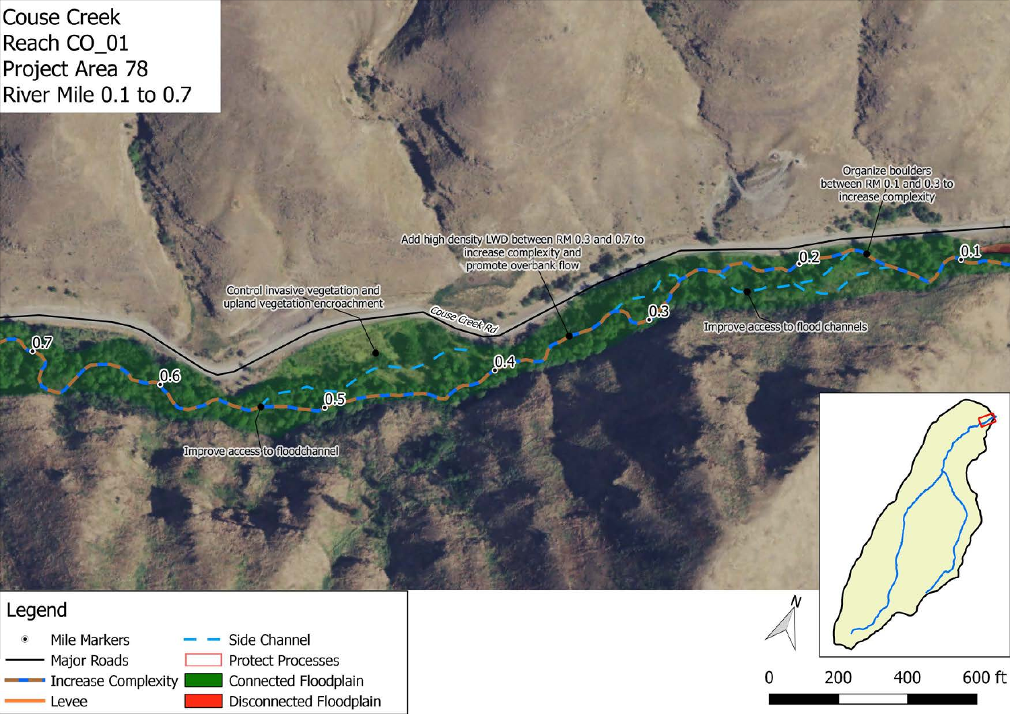





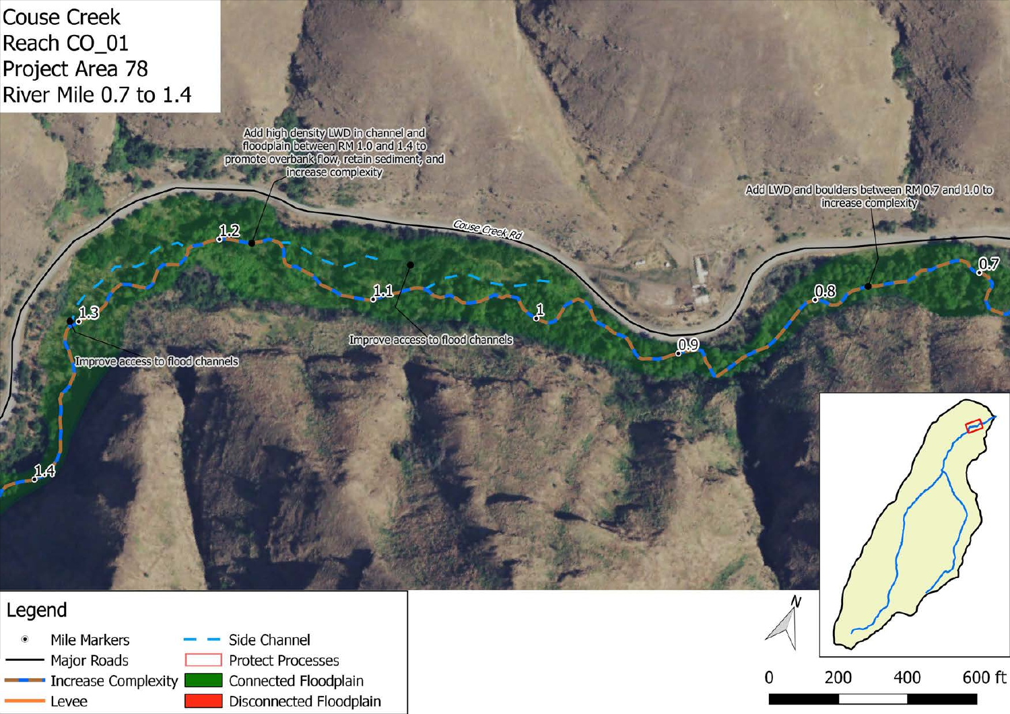**Couse Creek Reach CO\_01 Project Area 78 River Mile 0.7 to 1.4** 

**AB** 

**JA** 

Add high density LWD in channel and<br>floodplain between RM 1.0 and 1.4 to<br>promote overbank flow, retain sediment, and increase complexity

Improve access to flood channels

 $11$ 

Couse Creek Rd

Improve access to flood channels

 $12$ 





Add LWD and boulders between RM 0.7 and 1.0 to increase complexity

 $98$ 

0.9

 $\mathbf{D}$